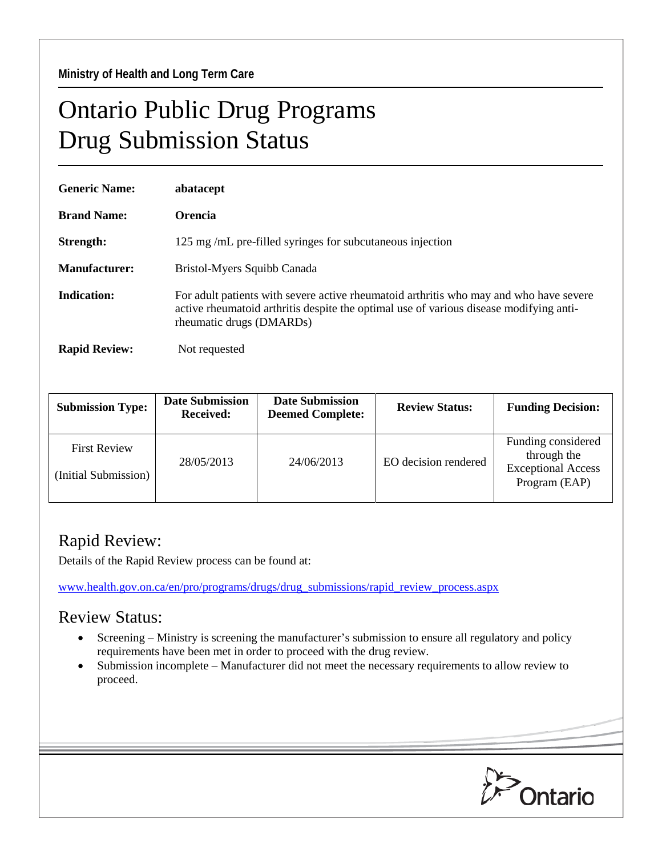**Ministry of Health and Long Term Care** 

## Ontario Public Drug Programs Drug Submission Status

| <b>Generic Name:</b> | abatacept                                                                                                                                                                                                    |  |  |  |
|----------------------|--------------------------------------------------------------------------------------------------------------------------------------------------------------------------------------------------------------|--|--|--|
| <b>Brand Name:</b>   | <b>Orencia</b>                                                                                                                                                                                               |  |  |  |
| Strength:            | 125 mg/mL pre-filled syringes for subcutaneous injection                                                                                                                                                     |  |  |  |
| Manufacturer:        | Bristol-Myers Squibb Canada                                                                                                                                                                                  |  |  |  |
| Indication:          | For adult patients with severe active rheumatoid arthritis who may and who have severe<br>active rheumatoid arthritis despite the optimal use of various disease modifying anti-<br>rheumatic drugs (DMARDs) |  |  |  |
| <b>Rapid Review:</b> | Not requested                                                                                                                                                                                                |  |  |  |

| <b>Submission Type:</b>                     | <b>Date Submission</b><br><b>Received:</b> | <b>Date Submission</b><br><b>Deemed Complete:</b> | <b>Review Status:</b> | <b>Funding Decision:</b>                                                        |
|---------------------------------------------|--------------------------------------------|---------------------------------------------------|-----------------------|---------------------------------------------------------------------------------|
| <b>First Review</b><br>(Initial Submission) | 28/05/2013                                 | 24/06/2013                                        | EO decision rendered  | Funding considered<br>through the<br><b>Exceptional Access</b><br>Program (EAP) |

## Rapid Review:

Details of the Rapid Review process can be found at:

[www.health.gov.on.ca/en/pro/programs/drugs/drug\\_submissions/rapid\\_review\\_process.aspx](http://www.health.gov.on.ca/en/pro/programs/drugs/drug_submissions/rapid_review_process.aspx)

## Review Status:

- Screening Ministry is screening the manufacturer's submission to ensure all regulatory and policy requirements have been met in order to proceed with the drug review.
- Submission incomplete Manufacturer did not meet the necessary requirements to allow review to proceed.